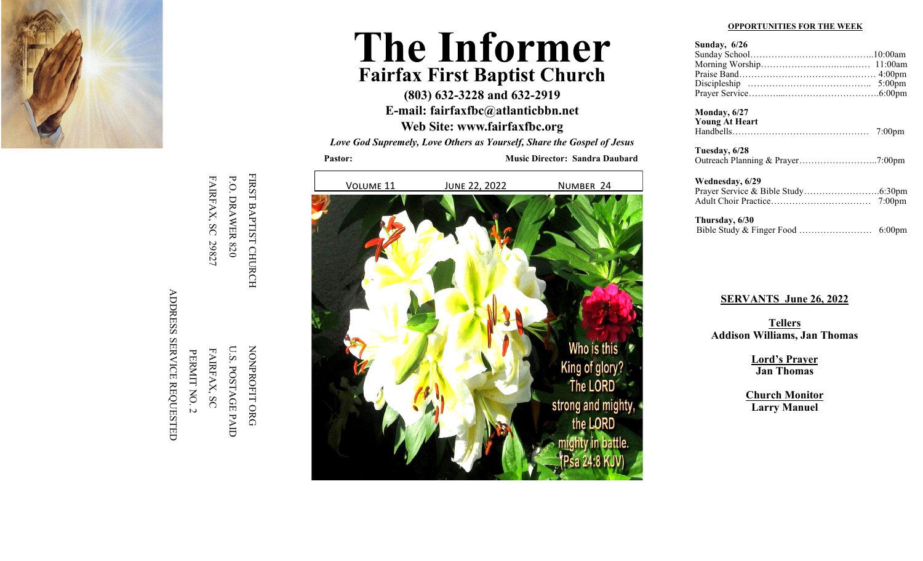

ADDRESS SERVICE REQUESTED ADDRESS SERVICE REQUESTED PERMIT NO. 2 PERMIT NO. 2

NONPROFIT ORG U.S. POSTAGE PAID NONPROFIT ORG FAIRFAX, SC

FIRST BAPTIST CHURCH FIRST BAPTIST CHURCH P.O. DRAWER 820 FAIRFAX, SC 29827 FAIRFAX, SC 29827

P.O. DRAWER 820 U.S. POSTAGE PAID FAIRFAX, SC

**The Informer Fairfax First Baptist Church**

> **(803) 632 -3228 and 632 -2919 E -mail: fairfaxfbc@atlanticbbn.net**

> **Web Site: www.fairfaxfbc.org**

*Love God Supremely, Love Others as Yourself, Share the Gospel of Jesus*

**Pastor: Music Director: Sandra Daubard**



## **OPPORTUNITIES FOR THE WEEK**

| Sunday, $6/26$ |  |
|----------------|--|
|                |  |
|                |  |
|                |  |
|                |  |
|                |  |

 $M$ onday  $6/27$ Monday, 6/27<br>**Young At He**s

| <b>Young At Heart</b> |  |
|-----------------------|--|
|                       |  |
|                       |  |

| Tuesday, 6/28 |  |
|---------------|--|
|               |  |

Wednesday, 6/29 Prayer Service & Bible Study…………………….6:30pm Adult Choir Practice…………………………… 7:00pm

 **Thursday, 6/30 SERVANTS: 110158039.**<br>Bible Study & Finger Food ……………………… 6:00pm

## **SERVANTS** June 26, 2022

**GREETERS Addison Williams, Jan Thomas Tellers**

 $Jan Thomas$ **Lord 's Prayer**

Jacy Oswald **Larry Manuel Church Monitor**